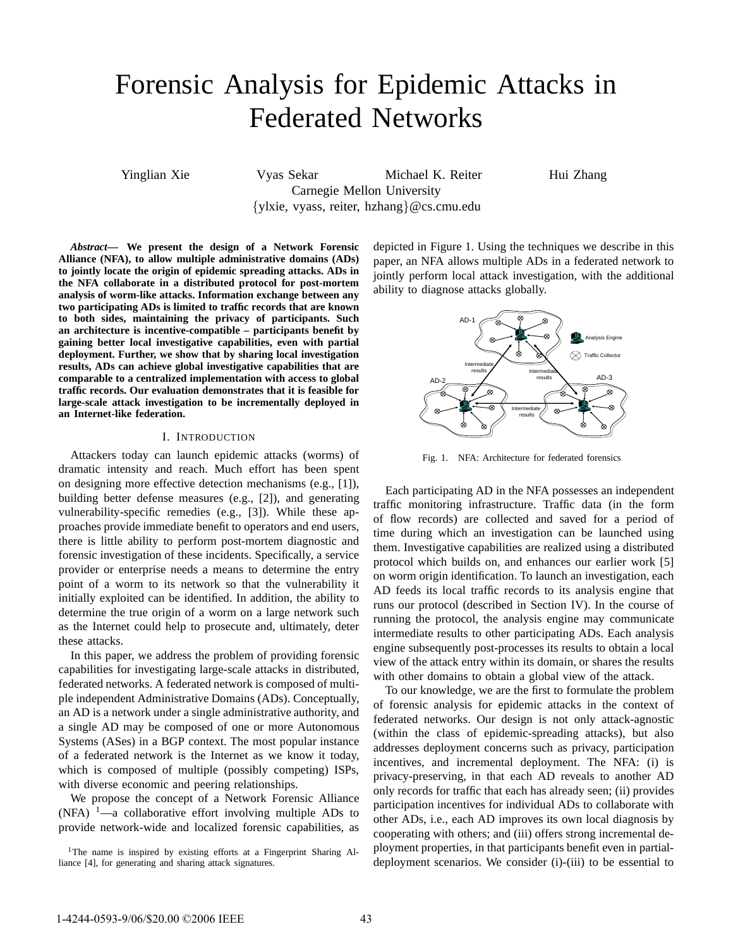# Forensic Analysis for Epidemic Attacks in Federated Networks

Yinglian Xie Vyas Sekar Michael K. Reiter Hui Zhang Carnegie Mellon University {ylxie, vyass, reiter, hzhang}@cs.cmu.edu

*Abstract***— We present the design of a Network Forensic Alliance (NFA), to allow multiple administrative domains (ADs) to jointly locate the origin of epidemic spreading attacks. ADs in the NFA collaborate in a distributed protocol for post-mortem analysis of worm-like attacks. Information exchange between any two participating ADs is limited to traffic records that are known to both sides, maintaining the privacy of participants. Such an architecture is incentive-compatible – participants benefit by gaining better local investigative capabilities, even with partial deployment. Further, we show that by sharing local investigation results, ADs can achieve global investigative capabilities that are comparable to a centralized implementation with access to global traffic records. Our evaluation demonstrates that it is feasible for large-scale attack investigation to be incrementally deployed in an Internet-like federation.**

## I. INTRODUCTION

Attackers today can launch epidemic attacks (worms) of dramatic intensity and reach. Much effort has been spent on designing more effective detection mechanisms (e.g., [1]), building better defense measures (e.g., [2]), and generating vulnerability-specific remedies (e.g., [3]). While these approaches provide immediate benefit to operators and end users, there is little ability to perform post-mortem diagnostic and forensic investigation of these incidents. Specifically, a service provider or enterprise needs a means to determine the entry point of a worm to its network so that the vulnerability it initially exploited can be identified. In addition, the ability to determine the true origin of a worm on a large network such as the Internet could help to prosecute and, ultimately, deter these attacks.

In this paper, we address the problem of providing forensic capabilities for investigating large-scale attacks in distributed, federated networks. A federated network is composed of multiple independent Administrative Domains (ADs). Conceptually, an AD is a network under a single administrative authority, and a single AD may be composed of one or more Autonomous Systems (ASes) in a BGP context. The most popular instance of a federated network is the Internet as we know it today, which is composed of multiple (possibly competing) ISPs, with diverse economic and peering relationships.

We propose the concept of a Network Forensic Alliance (NFA)  $1$ —a collaborative effort involving multiple ADs to provide network-wide and localized forensic capabilities, as

depicted in Figure 1. Using the techniques we describe in this paper, an NFA allows multiple ADs in a federated network to jointly perform local attack investigation, with the additional ability to diagnose attacks globally.



Fig. 1. NFA: Architecture for federated forensics

Each participating AD in the NFA possesses an independent traffic monitoring infrastructure. Traffic data (in the form of flow records) are collected and saved for a period of time during which an investigation can be launched using them. Investigative capabilities are realized using a distributed protocol which builds on, and enhances our earlier work [5] on worm origin identification. To launch an investigation, each AD feeds its local traffic records to its analysis engine that runs our protocol (described in Section IV). In the course of running the protocol, the analysis engine may communicate intermediate results to other participating ADs. Each analysis engine subsequently post-processes its results to obtain a local view of the attack entry within its domain, or shares the results with other domains to obtain a global view of the attack.

To our knowledge, we are the first to formulate the problem of forensic analysis for epidemic attacks in the context of federated networks. Our design is not only attack-agnostic (within the class of epidemic-spreading attacks), but also addresses deployment concerns such as privacy, participation incentives, and incremental deployment. The NFA: (i) is privacy-preserving, in that each AD reveals to another AD only records for traffic that each has already seen; (ii) provides participation incentives for individual ADs to collaborate with other ADs, i.e., each AD improves its own local diagnosis by cooperating with others; and (iii) offers strong incremental deployment properties, in that participants benefit even in partialdeployment scenarios. We consider (i)-(iii) to be essential to

<sup>&</sup>lt;sup>1</sup>The name is inspired by existing efforts at a Fingerprint Sharing Alliance [4], for generating and sharing attack signatures.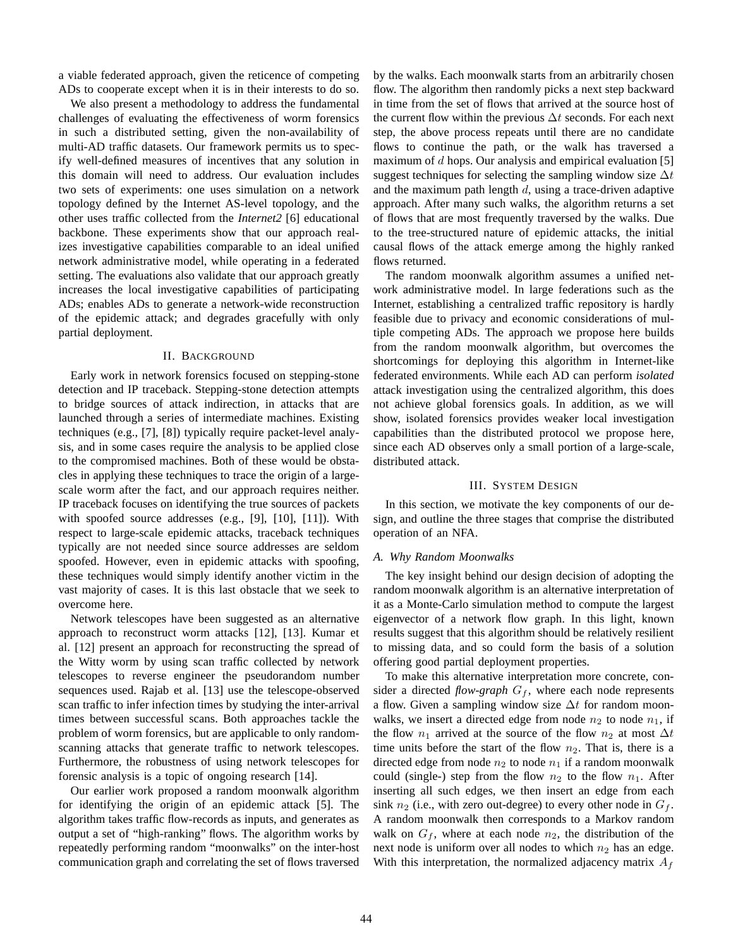a viable federated approach, given the reticence of competing ADs to cooperate except when it is in their interests to do so.

We also present a methodology to address the fundamental challenges of evaluating the effectiveness of worm forensics in such a distributed setting, given the non-availability of multi-AD traffic datasets. Our framework permits us to specify well-defined measures of incentives that any solution in this domain will need to address. Our evaluation includes two sets of experiments: one uses simulation on a network topology defined by the Internet AS-level topology, and the other uses traffic collected from the *Internet2* [6] educational backbone. These experiments show that our approach realizes investigative capabilities comparable to an ideal unified network administrative model, while operating in a federated setting. The evaluations also validate that our approach greatly increases the local investigative capabilities of participating ADs; enables ADs to generate a network-wide reconstruction of the epidemic attack; and degrades gracefully with only partial deployment.

## II. BACKGROUND

Early work in network forensics focused on stepping-stone detection and IP traceback. Stepping-stone detection attempts to bridge sources of attack indirection, in attacks that are launched through a series of intermediate machines. Existing techniques (e.g., [7], [8]) typically require packet-level analysis, and in some cases require the analysis to be applied close to the compromised machines. Both of these would be obstacles in applying these techniques to trace the origin of a largescale worm after the fact, and our approach requires neither. IP traceback focuses on identifying the true sources of packets with spoofed source addresses (e.g., [9], [10], [11]). With respect to large-scale epidemic attacks, traceback techniques typically are not needed since source addresses are seldom spoofed. However, even in epidemic attacks with spoofing, these techniques would simply identify another victim in the vast majority of cases. It is this last obstacle that we seek to overcome here.

Network telescopes have been suggested as an alternative approach to reconstruct worm attacks [12], [13]. Kumar et al. [12] present an approach for reconstructing the spread of the Witty worm by using scan traffic collected by network telescopes to reverse engineer the pseudorandom number sequences used. Rajab et al. [13] use the telescope-observed scan traffic to infer infection times by studying the inter-arrival times between successful scans. Both approaches tackle the problem of worm forensics, but are applicable to only randomscanning attacks that generate traffic to network telescopes. Furthermore, the robustness of using network telescopes for forensic analysis is a topic of ongoing research [14].

Our earlier work proposed a random moonwalk algorithm for identifying the origin of an epidemic attack [5]. The algorithm takes traffic flow-records as inputs, and generates as output a set of "high-ranking" flows. The algorithm works by repeatedly performing random "moonwalks" on the inter-host communication graph and correlating the set of flows traversed by the walks. Each moonwalk starts from an arbitrarily chosen flow. The algorithm then randomly picks a next step backward in time from the set of flows that arrived at the source host of the current flow within the previous  $\Delta t$  seconds. For each next step, the above process repeats until there are no candidate flows to continue the path, or the walk has traversed a maximum of  $d$  hops. Our analysis and empirical evaluation [5] suggest techniques for selecting the sampling window size  $\Delta t$ and the maximum path length  $d$ , using a trace-driven adaptive approach. After many such walks, the algorithm returns a set of flows that are most frequently traversed by the walks. Due to the tree-structured nature of epidemic attacks, the initial causal flows of the attack emerge among the highly ranked flows returned.

The random moonwalk algorithm assumes a unified network administrative model. In large federations such as the Internet, establishing a centralized traffic repository is hardly feasible due to privacy and economic considerations of multiple competing ADs. The approach we propose here builds from the random moonwalk algorithm, but overcomes the shortcomings for deploying this algorithm in Internet-like federated environments. While each AD can perform *isolated* attack investigation using the centralized algorithm, this does not achieve global forensics goals. In addition, as we will show, isolated forensics provides weaker local investigation capabilities than the distributed protocol we propose here, since each AD observes only a small portion of a large-scale, distributed attack.

## III. SYSTEM DESIGN

In this section, we motivate the key components of our design, and outline the three stages that comprise the distributed operation of an NFA.

#### *A. Why Random Moonwalks*

The key insight behind our design decision of adopting the random moonwalk algorithm is an alternative interpretation of it as a Monte-Carlo simulation method to compute the largest eigenvector of a network flow graph. In this light, known results suggest that this algorithm should be relatively resilient to missing data, and so could form the basis of a solution offering good partial deployment properties.

To make this alternative interpretation more concrete, consider a directed  $flow\text{-}graph\ G_f$ , where each node represents a flow. Given a sampling window size  $\Delta t$  for random moonwalks, we insert a directed edge from node  $n_2$  to node  $n_1$ , if the flow  $n_1$  arrived at the source of the flow  $n_2$  at most  $\Delta t$ time units before the start of the flow  $n_2$ . That is, there is a directed edge from node  $n_2$  to node  $n_1$  if a random moonwalk could (single-) step from the flow  $n_2$  to the flow  $n_1$ . After inserting all such edges, we then insert an edge from each sink  $n_2$  (i.e., with zero out-degree) to every other node in  $G_f$ . A random moonwalk then corresponds to a Markov random walk on  $G_f$ , where at each node  $n_2$ , the distribution of the next node is uniform over all nodes to which  $n_2$  has an edge. With this interpretation, the normalized adjacency matrix  $A_f$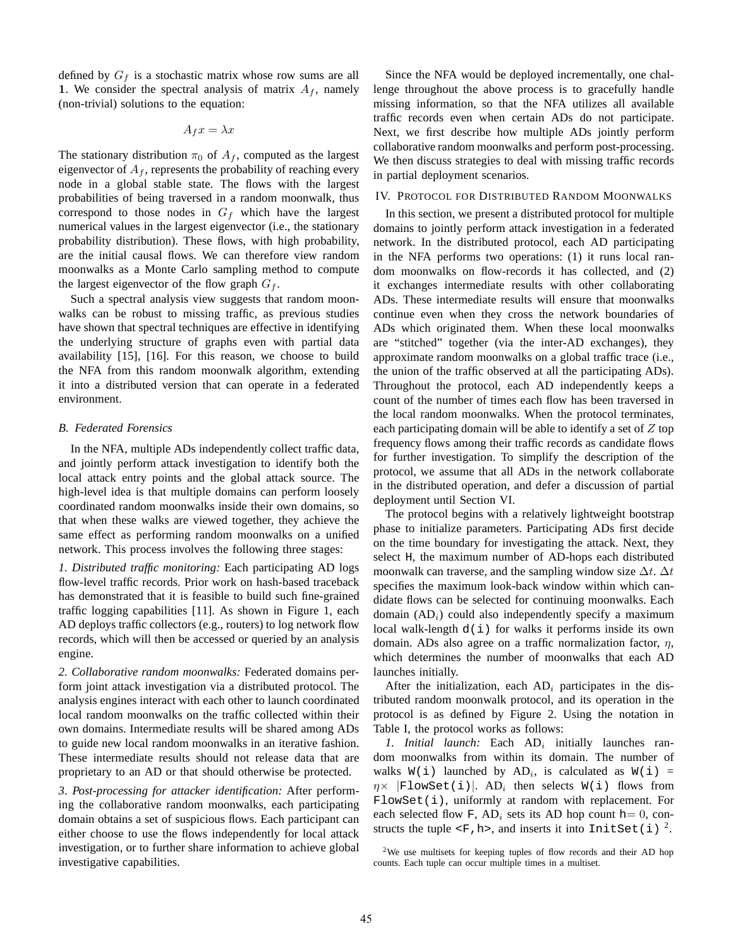defined by  $G_f$  is a stochastic matrix whose row sums are all 1. We consider the spectral analysis of matrix  $A_f$ , namely (non-trivial) solutions to the equation:

$$
A_f x = \lambda x
$$

The stationary distribution  $\pi_0$  of  $A_f$ , computed as the largest eigenvector of  $A_f$ , represents the probability of reaching every node in a global stable state. The flows with the largest probabilities of being traversed in a random moonwalk, thus correspond to those nodes in  $G_f$  which have the largest numerical values in the largest eigenvector (i.e., the stationary probability distribution). These flows, with high probability, are the initial causal flows. We can therefore view random moonwalks as a Monte Carlo sampling method to compute the largest eigenvector of the flow graph  $G_f$ .

Such a spectral analysis view suggests that random moonwalks can be robust to missing traffic, as previous studies have shown that spectral techniques are effective in identifying the underlying structure of graphs even with partial data availability [15], [16]. For this reason, we choose to build the NFA from this random moonwalk algorithm, extending it into a distributed version that can operate in a federated environment.

## *B. Federated Forensics*

In the NFA, multiple ADs independently collect traffic data, and jointly perform attack investigation to identify both the local attack entry points and the global attack source. The high-level idea is that multiple domains can perform loosely coordinated random moonwalks inside their own domains, so that when these walks are viewed together, they achieve the same effect as performing random moonwalks on a unified network. This process involves the following three stages:

*1. Distributed traffic monitoring:* Each participating AD logs flow-level traffic records. Prior work on hash-based traceback has demonstrated that it is feasible to build such fine-grained traffic logging capabilities [11]. As shown in Figure 1, each AD deploys traffic collectors (e.g., routers) to log network flow records, which will then be accessed or queried by an analysis engine.

*2. Collaborative random moonwalks:* Federated domains perform joint attack investigation via a distributed protocol. The analysis engines interact with each other to launch coordinated local random moonwalks on the traffic collected within their own domains. Intermediate results will be shared among ADs to guide new local random moonwalks in an iterative fashion. These intermediate results should not release data that are proprietary to an AD or that should otherwise be protected.

*3. Post-processing for attacker identification:* After performing the collaborative random moonwalks, each participating domain obtains a set of suspicious flows. Each participant can either choose to use the flows independently for local attack investigation, or to further share information to achieve global investigative capabilities.

Since the NFA would be deployed incrementally, one challenge throughout the above process is to gracefully handle missing information, so that the NFA utilizes all available traffic records even when certain ADs do not participate. Next, we first describe how multiple ADs jointly perform collaborative random moonwalks and perform post-processing. We then discuss strategies to deal with missing traffic records in partial deployment scenarios.

## IV. PROTOCOL FOR DISTRIBUTED RANDOM MOONWALKS

In this section, we present a distributed protocol for multiple domains to jointly perform attack investigation in a federated network. In the distributed protocol, each AD participating in the NFA performs two operations: (1) it runs local random moonwalks on flow-records it has collected, and (2) it exchanges intermediate results with other collaborating ADs. These intermediate results will ensure that moonwalks continue even when they cross the network boundaries of ADs which originated them. When these local moonwalks are "stitched" together (via the inter-AD exchanges), they approximate random moonwalks on a global traffic trace (i.e., the union of the traffic observed at all the participating ADs). Throughout the protocol, each AD independently keeps a count of the number of times each flow has been traversed in the local random moonwalks. When the protocol terminates, each participating domain will be able to identify a set of  $Z$  top frequency flows among their traffic records as candidate flows for further investigation. To simplify the description of the protocol, we assume that all ADs in the network collaborate in the distributed operation, and defer a discussion of partial deployment until Section VI.

The protocol begins with a relatively lightweight bootstrap phase to initialize parameters. Participating ADs first decide on the time boundary for investigating the attack. Next, they select H, the maximum number of AD-hops each distributed moonwalk can traverse, and the sampling window size  $\Delta t$ .  $\Delta t$ specifies the maximum look-back window within which candidate flows can be selected for continuing moonwalks. Each domain  $(AD_i)$  could also independently specify a maximum local walk-length  $d(i)$  for walks it performs inside its own domain. ADs also agree on a traffic normalization factor,  $\eta$ , which determines the number of moonwalks that each AD launches initially.

After the initialization, each  $AD_i$  participates in the distributed random moonwalk protocol, and its operation in the protocol is as defined by Figure 2. Using the notation in Table I, the protocol works as follows:

1. Initial launch: Each AD<sub>i</sub> initially launches random moonwalks from within its domain. The number of walks  $W(i)$  launched by  $AD_i$ , is calculated as  $W(i)$  =  $\eta\times$  |FlowSet(i)|.  $\operatorname{AD}_i$  then selects W(i) flows from FlowSet(i), uniformly at random with replacement. For each selected flow F,  $AD_i$  sets its AD hop count h= 0, constructs the tuple  $\langle F,h\rangle$ , and inserts it into InitSet(i)<sup>2</sup>.

<sup>&</sup>lt;sup>2</sup>We use multisets for keeping tuples of flow records and their AD hop counts. Each tuple can occur multiple times in a multiset.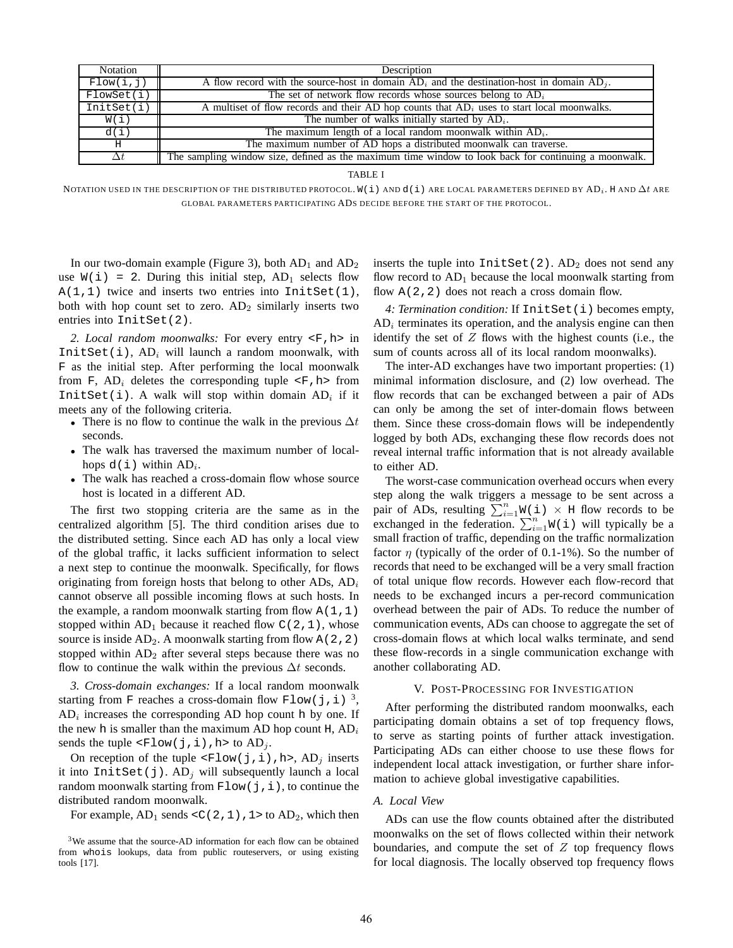| Notation         | Description                                                                                          |
|------------------|------------------------------------------------------------------------------------------------------|
| Flow(i, j)       | A flow record with the source-host in domain $AD_i$ and the destination-host in domain $AD_i$ .      |
| FlowSet(i)       | The set of network flow records whose sources belong to $AD_i$                                       |
| InitSet(i)       | A multiset of flow records and their AD hop counts that $AD_i$ uses to start local moonwalks.        |
| $W(\dot{\perp})$ | The number of walks initially started by $AD_i$ .                                                    |
| d(i)             | The maximum length of a local random moonwalk within $AD_i$ .                                        |
| H                | The maximum number of AD hops a distributed moonwalk can traverse.                                   |
| $\Delta t$       | The sampling window size, defined as the maximum time window to look back for continuing a moonwalk. |

TABLE I

NOTATION USED IN THE DESCRIPTION OF THE DISTRIBUTED PROTOCOL. W(i) AND d(i) ARE LOCAL PARAMETERS DEFINED BY  $AD_i$ . H AND  $\Delta t$  are GLOBAL PARAMETERS PARTICIPATING ADS DECIDE BEFORE THE START OF THE PROTOCOL.

In our two-domain example (Figure 3), both  $AD_1$  and  $AD_2$ use  $W(i) = 2$ . During this initial step,  $AD_1$  selects flow A(1,1) twice and inserts two entries into InitSet(1), both with hop count set to zero.  $AD<sub>2</sub>$  similarly inserts two entries into InitSet(2).

*2. Local random moonwalks:* For every entry <F,h> in  $InitSet(i), AD<sub>i</sub>$  will launch a random moonwalk, with F as the initial step. After performing the local moonwalk from F,  $AD_i$  deletes the corresponding tuple  $\leq$  F, h from  $InitSet(i)$ . A walk will stop within domain  $AD_i$  if it meets any of the following criteria.

- There is no flow to continue the walk in the previous  $\Delta t$ seconds.
- The walk has traversed the maximum number of localhops  $d(i)$  within  $AD_i$ .
- The walk has reached a cross-domain flow whose source host is located in a different AD.

The first two stopping criteria are the same as in the centralized algorithm [5]. The third condition arises due to the distributed setting. Since each AD has only a local view of the global traffic, it lacks sufficient information to select a next step to continue the moonwalk. Specifically, for flows originating from foreign hosts that belong to other ADs,  $AD<sub>i</sub>$ cannot observe all possible incoming flows at such hosts. In the example, a random moonwalk starting from flow  $A(1,1)$ stopped within  $AD_1$  because it reached flow  $C(2,1)$ , whose source is inside  $AD_2$ . A moonwalk starting from flow A(2,2) stopped within  $AD<sub>2</sub>$  after several steps because there was no flow to continue the walk within the previous  $\Delta t$  seconds.

*3. Cross-domain exchanges:* If a local random moonwalk starting from F reaches a cross-domain flow Flow(j,i)<sup>3</sup>,  $AD_i$  increases the corresponding AD hop count h by one. If the new h is smaller than the maximum AD hop count H,  $AD<sub>i</sub>$ sends the tuple  $\leq$ Flow(j,i),h> to AD<sub>j</sub>.

On reception of the tuple  $\leq$ Flow(j,i),h>, AD<sub>j</sub> inserts it into InitSet(j).  $AD_i$  will subsequently launch a local random moonwalk starting from  $Flow(j,i)$ , to continue the distributed random moonwalk.

For example,  $AD_1$  sends <C(2, 1), 1> to  $AD_2$ , which then

inserts the tuple into  $InitSet(2)$ .  $AD<sub>2</sub>$  does not send any flow record to  $AD_1$  because the local moonwalk starting from flow  $A(2,2)$  does not reach a cross domain flow.

*4: Termination condition:* If InitSet(i) becomes empty,  $AD<sub>i</sub>$  terminates its operation, and the analysis engine can then identify the set of  $Z$  flows with the highest counts (i.e., the sum of counts across all of its local random moonwalks).

The inter-AD exchanges have two important properties: (1) minimal information disclosure, and (2) low overhead. The flow records that can be exchanged between a pair of ADs can only be among the set of inter-domain flows between them. Since these cross-domain flows will be independently logged by both ADs, exchanging these flow records does not reveal internal traffic information that is not already available to either AD.

The worst-case communication overhead occurs when every step along the walk triggers a message to be sent across a pair of ADs, resulting  $\sum_{i=1}^{n} W(i) \times H$  flow records to be exchanged in the federation.  $\sum_{i=1}^{n} W(i)$  will typically be a small fraction of traffic, depending on the traffic normalization factor  $\eta$  (typically of the order of 0.1-1%). So the number of records that need to be exchanged will be a very small fraction of total unique flow records. However each flow-record that needs to be exchanged incurs a per-record communication overhead between the pair of ADs. To reduce the number of communication events, ADs can choose to aggregate the set of cross-domain flows at which local walks terminate, and send these flow-records in a single communication exchange with another collaborating AD.

#### V. POST-PROCESSING FOR INVESTIGATION

After performing the distributed random moonwalks, each participating domain obtains a set of top frequency flows, to serve as starting points of further attack investigation. Participating ADs can either choose to use these flows for independent local attack investigation, or further share information to achieve global investigative capabilities.

#### *A. Local View*

ADs can use the flow counts obtained after the distributed moonwalks on the set of flows collected within their network boundaries, and compute the set of  $Z$  top frequency flows for local diagnosis. The locally observed top frequency flows

<sup>&</sup>lt;sup>3</sup>We assume that the source-AD information for each flow can be obtained from whois lookups, data from public routeservers, or using existing tools [17].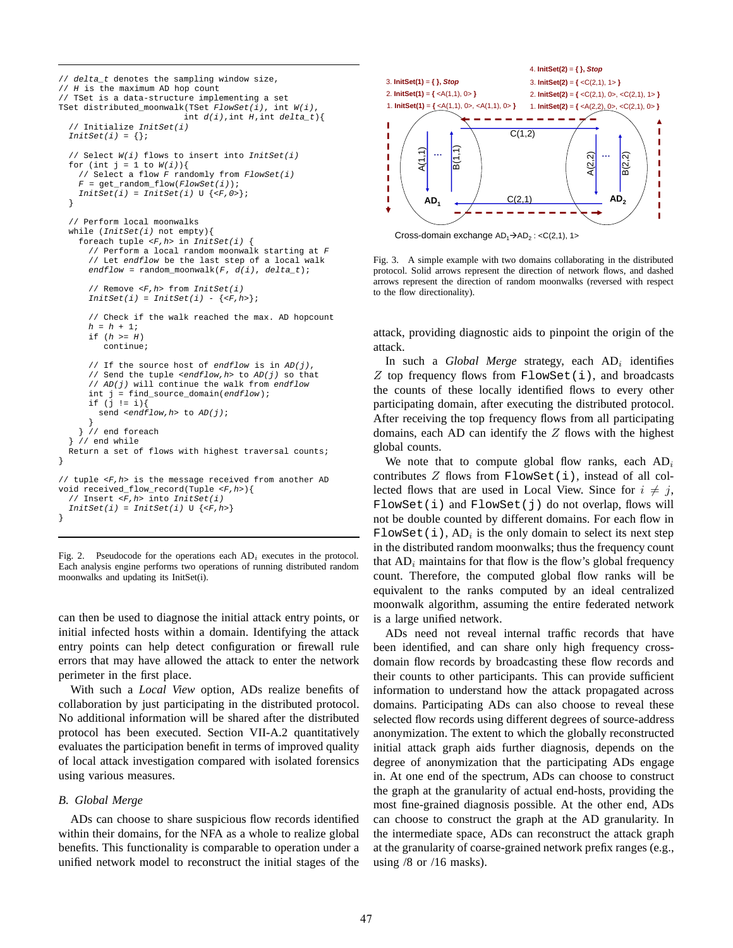```
// delta_t denotes the sampling window size,
// H is the maximum AD hop count
// TSet is a data-structure implementing a set
TSet distributed_moonwalk(TSet FlowSet(i), int W(i),
                          int d(i), int H, int delta t) {
  // Initialize InitSet(i)
  InitSet(i) = \{\}// Select W(i) flows to insert into InitSet(i)for (int j = 1 to W(i)) {
    // Select a flow F randomly from FlowSet(i)F = get\_random\_flow(FlowSet(i));InitSet(i) = InitSet(i) \cup { \langle F, 0 \rangle };}
  // Perform local moonwalks
  while (InitSet(i) not empty){
    foreach tuple \langle F,h\rangle in InitSet(i) \langle// Perform a local random moonwalk starting at F
      // Let endflow be the last step of a local walk
      endflow = random_moonwalk(F, d(i), delta_t);// Remove <F,h> from InitSet(i)
      InitSet(i) = InitSet(i) - {<b>F,h&gt;}</b>;// Check if the walk reached the max. AD hopcount
      h = h + 1;
      if (h \geq H)continue;
      // If the source host of endflow is in AD(j),
      // Send the tuple \leq endflow, h> to AD(j) so that
      // AD(j) will continue the walk from endflow
      int j = find_source_domain(endflow);
      if (j != i){
        send <endflow, h> to AD(j);
    }
} // end foreach
    // end whileReturn a set of flows with highest traversal counts;
}
// tuple <F,h> is the message received from another AD
void received_flow_record(Tuple <F,h>){
  // Insert <F,h> into InitSet(i)
  InitSet(i) = InitSet(i) \cup \{<F,h>\}}
```
Fig. 2. Pseudocode for the operations each  $AD_i$  executes in the protocol. Each analysis engine performs two operations of running distributed random moonwalks and updating its InitSet(i).

can then be used to diagnose the initial attack entry points, or initial infected hosts within a domain. Identifying the attack entry points can help detect configuration or firewall rule errors that may have allowed the attack to enter the network perimeter in the first place.

With such a *Local View* option, ADs realize benefits of collaboration by just participating in the distributed protocol. No additional information will be shared after the distributed protocol has been executed. Section VII-A.2 quantitatively evaluates the participation benefit in terms of improved quality of local attack investigation compared with isolated forensics using various measures.

#### *B. Global Merge*

ADs can choose to share suspicious flow records identified within their domains, for the NFA as a whole to realize global benefits. This functionality is comparable to operation under a unified network model to reconstruct the initial stages of the



Cross-domain exchange  $AD_1\rightarrow AD_2$ : <C(2,1), 1>

Fig. 3. A simple example with two domains collaborating in the distributed protocol. Solid arrows represent the direction of network flows, and dashed arrows represent the direction of random moonwalks (reversed with respect to the flow directionality).

attack, providing diagnostic aids to pinpoint the origin of the attack.

In such a *Global Merge* strategy, each AD<sub>i</sub> identifies Z top frequency flows from FlowSet(i), and broadcasts the counts of these locally identified flows to every other participating domain, after executing the distributed protocol. After receiving the top frequency flows from all participating domains, each AD can identify the  $Z$  flows with the highest global counts.

We note that to compute global flow ranks, each  $AD_i$ contributes  $Z$  flows from FlowSet(i), instead of all collected flows that are used in Local View. Since for  $i \neq j$ , FlowSet(i) and FlowSet(j) do not overlap, flows will not be double counted by different domains. For each flow in FlowSet(i),  $AD_i$  is the only domain to select its next step in the distributed random moonwalks; thus the frequency count that  $AD_i$  maintains for that flow is the flow's global frequency count. Therefore, the computed global flow ranks will be equivalent to the ranks computed by an ideal centralized moonwalk algorithm, assuming the entire federated network is a large unified network.

ADs need not reveal internal traffic records that have been identified, and can share only high frequency crossdomain flow records by broadcasting these flow records and their counts to other participants. This can provide sufficient information to understand how the attack propagated across domains. Participating ADs can also choose to reveal these selected flow records using different degrees of source-address anonymization. The extent to which the globally reconstructed initial attack graph aids further diagnosis, depends on the degree of anonymization that the participating ADs engage in. At one end of the spectrum, ADs can choose to construct the graph at the granularity of actual end-hosts, providing the most fine-grained diagnosis possible. At the other end, ADs can choose to construct the graph at the AD granularity. In the intermediate space, ADs can reconstruct the attack graph at the granularity of coarse-grained network prefix ranges (e.g., using  $/8$  or  $/16$  masks).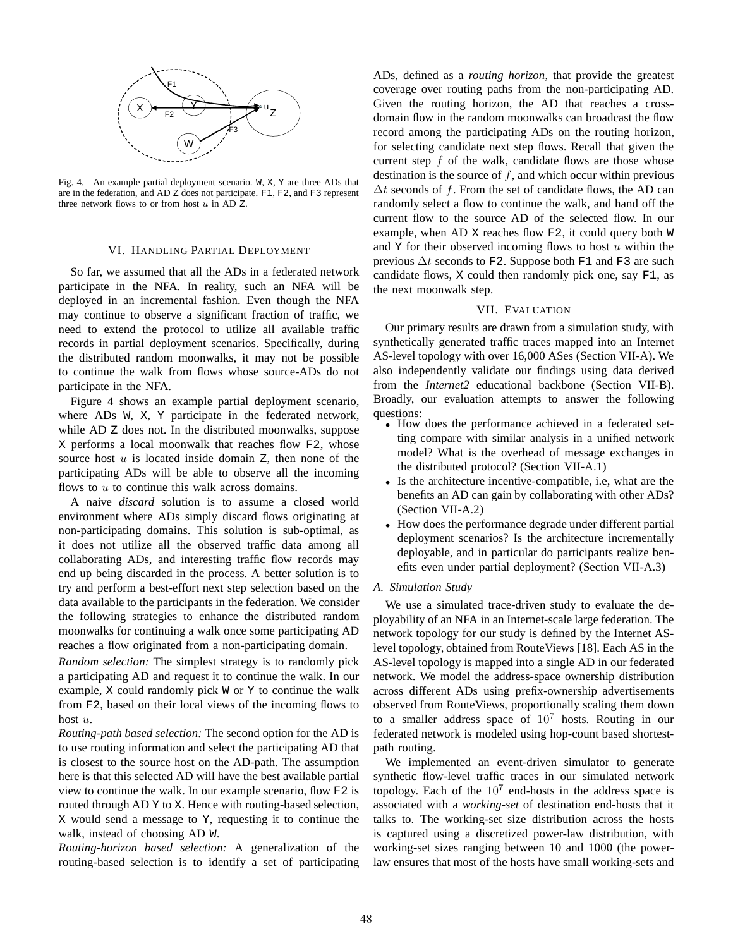

Fig. 4. An example partial deployment scenario. W, X, Y are three ADs that are in the federation, and AD Z does not participate. F1, F2, and F3 represent three network flows to or from host  $u$  in AD  $z$ .

## VI. HANDLING PARTIAL DEPLOYMENT

So far, we assumed that all the ADs in a federated network participate in the NFA. In reality, such an NFA will be deployed in an incremental fashion. Even though the NFA may continue to observe a significant fraction of traffic, we need to extend the protocol to utilize all available traffic records in partial deployment scenarios. Specifically, during the distributed random moonwalks, it may not be possible to continue the walk from flows whose source-ADs do not participate in the NFA.

Figure 4 shows an example partial deployment scenario, where ADs W, X, Y participate in the federated network, while AD z does not. In the distributed moonwalks, suppose X performs a local moonwalk that reaches flow F2, whose source host  $u$  is located inside domain  $z$ , then none of the participating ADs will be able to observe all the incoming flows to  $u$  to continue this walk across domains.

A naive *discard* solution is to assume a closed world environment where ADs simply discard flows originating at non-participating domains. This solution is sub-optimal, as it does not utilize all the observed traffic data among all collaborating ADs, and interesting traffic flow records may end up being discarded in the process. A better solution is to try and perform a best-effort next step selection based on the data available to the participants in the federation. We consider the following strategies to enhance the distributed random moonwalks for continuing a walk once some participating AD reaches a flow originated from a non-participating domain.

*Random selection:* The simplest strategy is to randomly pick a participating AD and request it to continue the walk. In our example, X could randomly pick W or Y to continue the walk from F2, based on their local views of the incoming flows to host u.

*Routing-path based selection:* The second option for the AD is to use routing information and select the participating AD that is closest to the source host on the AD-path. The assumption here is that this selected AD will have the best available partial view to continue the walk. In our example scenario, flow F2 is routed through AD Y to X. Hence with routing-based selection, X would send a message to Y, requesting it to continue the walk, instead of choosing AD W.

*Routing-horizon based selection:* A generalization of the routing-based selection is to identify a set of participating ADs, defined as a *routing horizon*, that provide the greatest coverage over routing paths from the non-participating AD. Given the routing horizon, the AD that reaches a crossdomain flow in the random moonwalks can broadcast the flow record among the participating ADs on the routing horizon, for selecting candidate next step flows. Recall that given the current step  $f$  of the walk, candidate flows are those whose destination is the source of  $f$ , and which occur within previous  $\Delta t$  seconds of f. From the set of candidate flows, the AD can randomly select a flow to continue the walk, and hand off the current flow to the source AD of the selected flow. In our example, when AD X reaches flow F2, it could query both W and  $Y$  for their observed incoming flows to host  $u$  within the previous  $\Delta t$  seconds to F2. Suppose both F1 and F3 are such candidate flows, X could then randomly pick one, say F1, as the next moonwalk step.

## VII. EVALUATION

Our primary results are drawn from a simulation study, with synthetically generated traffic traces mapped into an Internet AS-level topology with over 16,000 ASes (Section VII-A). We also independently validate our findings using data derived from the *Internet2* educational backbone (Section VII-B). Broadly, our evaluation attempts to answer the following questions:

- How does the performance achieved in a federated setting compare with similar analysis in a unified network model? What is the overhead of message exchanges in the distributed protocol? (Section VII-A.1)
- Is the architecture incentive-compatible, i.e, what are the benefits an AD can gain by collaborating with other ADs? (Section VII-A.2)
- How does the performance degrade under different partial deployment scenarios? Is the architecture incrementally deployable, and in particular do participants realize benefits even under partial deployment? (Section VII-A.3)

#### *A. Simulation Study*

We use a simulated trace-driven study to evaluate the deployability of an NFA in an Internet-scale large federation. The network topology for our study is defined by the Internet ASlevel topology, obtained from RouteViews [18]. Each AS in the AS-level topology is mapped into a single AD in our federated network. We model the address-space ownership distribution across different ADs using prefix-ownership advertisements observed from RouteViews, proportionally scaling them down to a smaller address space of  $10^7$  hosts. Routing in our federated network is modeled using hop-count based shortestpath routing.

We implemented an event-driven simulator to generate synthetic flow-level traffic traces in our simulated network topology. Each of the  $10^7$  end-hosts in the address space is associated with a *working-set* of destination end-hosts that it talks to. The working-set size distribution across the hosts is captured using a discretized power-law distribution, with working-set sizes ranging between 10 and 1000 (the powerlaw ensures that most of the hosts have small working-sets and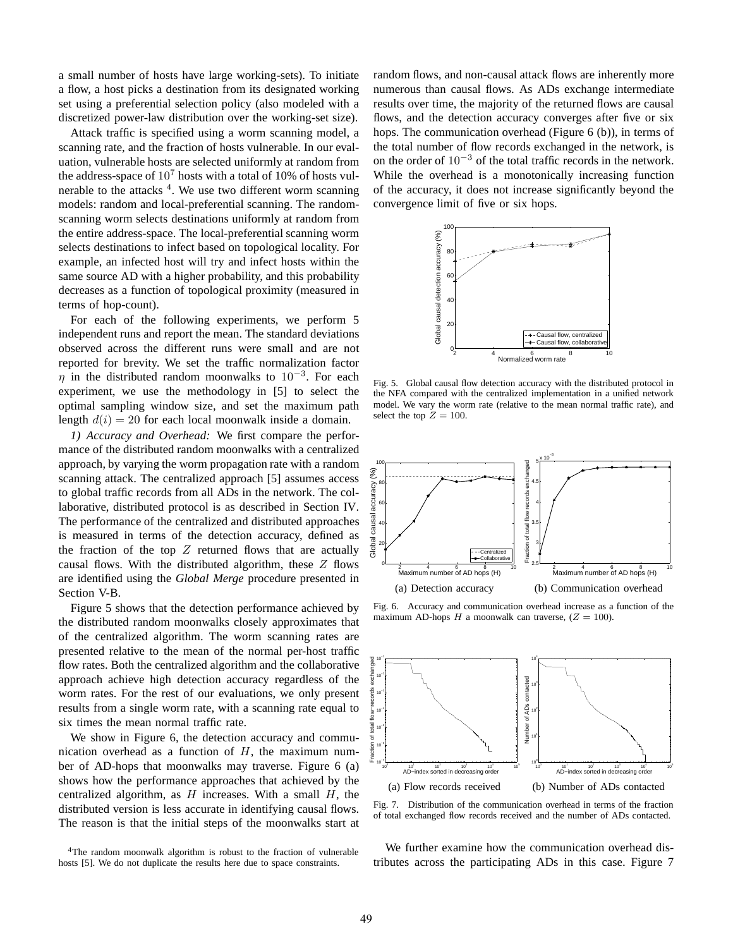a small number of hosts have large working-sets). To initiate a flow, a host picks a destination from its designated working set using a preferential selection policy (also modeled with a discretized power-law distribution over the working-set size).

Attack traffic is specified using a worm scanning model, a scanning rate, and the fraction of hosts vulnerable. In our evaluation, vulnerable hosts are selected uniformly at random from the address-space of  $10<sup>7</sup>$  hosts with a total of 10% of hosts vulnerable to the attacks<sup>4</sup>. We use two different worm scanning models: random and local-preferential scanning. The randomscanning worm selects destinations uniformly at random from the entire address-space. The local-preferential scanning worm selects destinations to infect based on topological locality. For example, an infected host will try and infect hosts within the same source AD with a higher probability, and this probability decreases as a function of topological proximity (measured in terms of hop-count).

For each of the following experiments, we perform 5 independent runs and report the mean. The standard deviations observed across the different runs were small and are not reported for brevity. We set the traffic normalization factor  $\eta$  in the distributed random moonwalks to 10<sup>-3</sup>. For each experiment, we use the methodology in [5] to select the optimal sampling window size, and set the maximum path length  $d(i) = 20$  for each local moonwalk inside a domain.

*1) Accuracy and Overhead:* We first compare the performance of the distributed random moonwalks with a centralized approach, by varying the worm propagation rate with a random scanning attack. The centralized approach [5] assumes access to global traffic records from all ADs in the network. The collaborative, distributed protocol is as described in Section IV. The performance of the centralized and distributed approaches is measured in terms of the detection accuracy, defined as the fraction of the top  $Z$  returned flows that are actually causal flows. With the distributed algorithm, these  $Z$  flows are identified using the *Global Merge* procedure presented in Section V-B.

Figure 5 shows that the detection performance achieved by the distributed random moonwalks closely approximates that of the centralized algorithm. The worm scanning rates are presented relative to the mean of the normal per-host traffic flow rates. Both the centralized algorithm and the collaborative approach achieve high detection accuracy regardless of the worm rates. For the rest of our evaluations, we only present results from a single worm rate, with a scanning rate equal to six times the mean normal traffic rate.

We show in Figure 6, the detection accuracy and communication overhead as a function of  $H$ , the maximum number of AD-hops that moonwalks may traverse. Figure 6 (a) shows how the performance approaches that achieved by the centralized algorithm, as  $H$  increases. With a small  $H$ , the distributed version is less accurate in identifying causal flows. The reason is that the initial steps of the moonwalks start at

<sup>4</sup>The random moonwalk algorithm is robust to the fraction of vulnerable hosts [5]. We do not duplicate the results here due to space constraints.

random flows, and non-causal attack flows are inherently more numerous than causal flows. As ADs exchange intermediate results over time, the majority of the returned flows are causal flows, and the detection accuracy converges after five or six hops. The communication overhead (Figure 6 (b)), in terms of the total number of flow records exchanged in the network, is on the order of  $10^{-3}$  of the total traffic records in the network. While the overhead is a monotonically increasing function of the accuracy, it does not increase significantly beyond the convergence limit of five or six hops.



Fig. 5. Global causal flow detection accuracy with the distributed protocol in the NFA compared with the centralized implementation in a unified network model. We vary the worm rate (relative to the mean normal traffic rate), and select the top  $Z = 100$ .



Fig. 6. Accuracy and communication overhead increase as a function of the maximum AD-hops H a moonwalk can traverse,  $(Z = 100)$ .



Fig. 7. Distribution of the communication overhead in terms of the fraction of total exchanged flow records received and the number of ADs contacted.

We further examine how the communication overhead distributes across the participating ADs in this case. Figure 7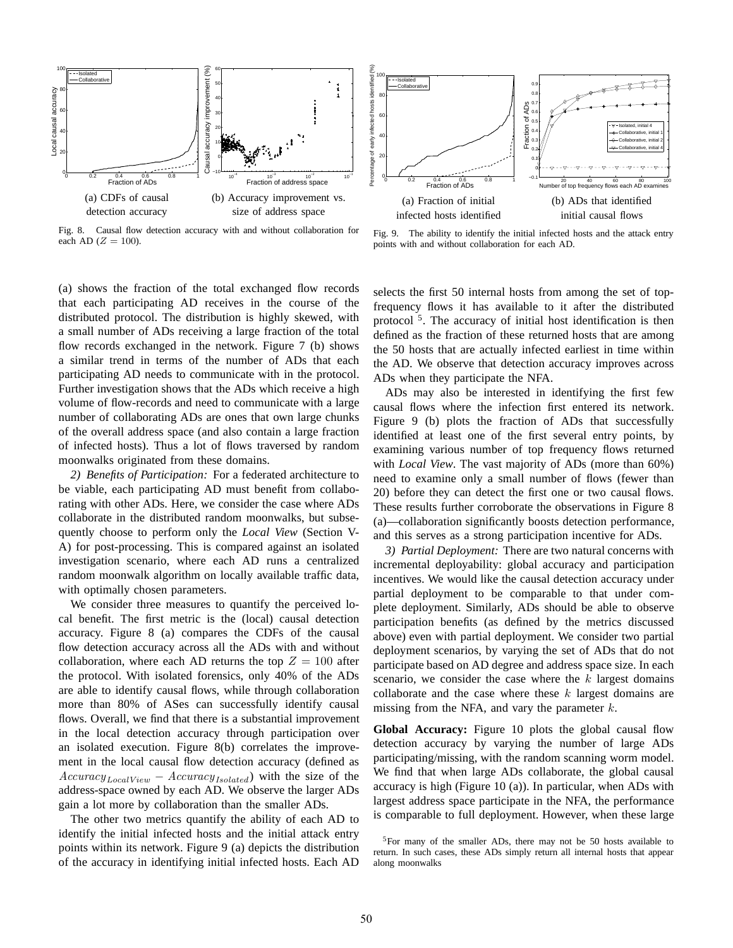

Fig. 8. Causal flow detection accuracy with and without collaboration for each AD  $(Z = 100)$ .



Fig. 9. The ability to identify the initial infected hosts and the attack entry points with and without collaboration for each AD.

(a) shows the fraction of the total exchanged flow records that each participating AD receives in the course of the distributed protocol. The distribution is highly skewed, with a small number of ADs receiving a large fraction of the total flow records exchanged in the network. Figure 7 (b) shows a similar trend in terms of the number of ADs that each participating AD needs to communicate with in the protocol. Further investigation shows that the ADs which receive a high volume of flow-records and need to communicate with a large number of collaborating ADs are ones that own large chunks of the overall address space (and also contain a large fraction of infected hosts). Thus a lot of flows traversed by random moonwalks originated from these domains.

*2) Benefits of Participation:* For a federated architecture to be viable, each participating AD must benefit from collaborating with other ADs. Here, we consider the case where ADs collaborate in the distributed random moonwalks, but subsequently choose to perform only the *Local View* (Section V-A) for post-processing. This is compared against an isolated investigation scenario, where each AD runs a centralized random moonwalk algorithm on locally available traffic data, with optimally chosen parameters.

We consider three measures to quantify the perceived local benefit. The first metric is the (local) causal detection accuracy. Figure 8 (a) compares the CDFs of the causal flow detection accuracy across all the ADs with and without collaboration, where each AD returns the top  $Z = 100$  after the protocol. With isolated forensics, only 40% of the ADs are able to identify causal flows, while through collaboration more than 80% of ASes can successfully identify causal flows. Overall, we find that there is a substantial improvement in the local detection accuracy through participation over an isolated execution. Figure 8(b) correlates the improvement in the local causal flow detection accuracy (defined as  $Accuracy_{LocalView} - Accuracy_{Isolated})$  with the size of the address-space owned by each AD. We observe the larger ADs gain a lot more by collaboration than the smaller ADs.

The other two metrics quantify the ability of each AD to identify the initial infected hosts and the initial attack entry points within its network. Figure 9 (a) depicts the distribution of the accuracy in identifying initial infected hosts. Each AD selects the first 50 internal hosts from among the set of topfrequency flows it has available to it after the distributed protocol<sup>5</sup>. The accuracy of initial host identification is then defined as the fraction of these returned hosts that are among the 50 hosts that are actually infected earliest in time within the AD. We observe that detection accuracy improves across ADs when they participate the NFA.

ADs may also be interested in identifying the first few causal flows where the infection first entered its network. Figure 9 (b) plots the fraction of ADs that successfully identified at least one of the first several entry points, by examining various number of top frequency flows returned with *Local View*. The vast majority of ADs (more than 60%) need to examine only a small number of flows (fewer than 20) before they can detect the first one or two causal flows. These results further corroborate the observations in Figure 8 (a)—collaboration significantly boosts detection performance, and this serves as a strong participation incentive for ADs.

*3) Partial Deployment:* There are two natural concerns with incremental deployability: global accuracy and participation incentives. We would like the causal detection accuracy under partial deployment to be comparable to that under complete deployment. Similarly, ADs should be able to observe participation benefits (as defined by the metrics discussed above) even with partial deployment. We consider two partial deployment scenarios, by varying the set of ADs that do not participate based on AD degree and address space size. In each scenario, we consider the case where the  $k$  largest domains collaborate and the case where these  $k$  largest domains are missing from the NFA, and vary the parameter  $k$ .

**Global Accuracy:** Figure 10 plots the global causal flow detection accuracy by varying the number of large ADs participating/missing, with the random scanning worm model. We find that when large ADs collaborate, the global causal accuracy is high (Figure 10 (a)). In particular, when ADs with largest address space participate in the NFA, the performance is comparable to full deployment. However, when these large

 $5F$ or many of the smaller ADs, there may not be 50 hosts available to return. In such cases, these ADs simply return all internal hosts that appear along moonwalks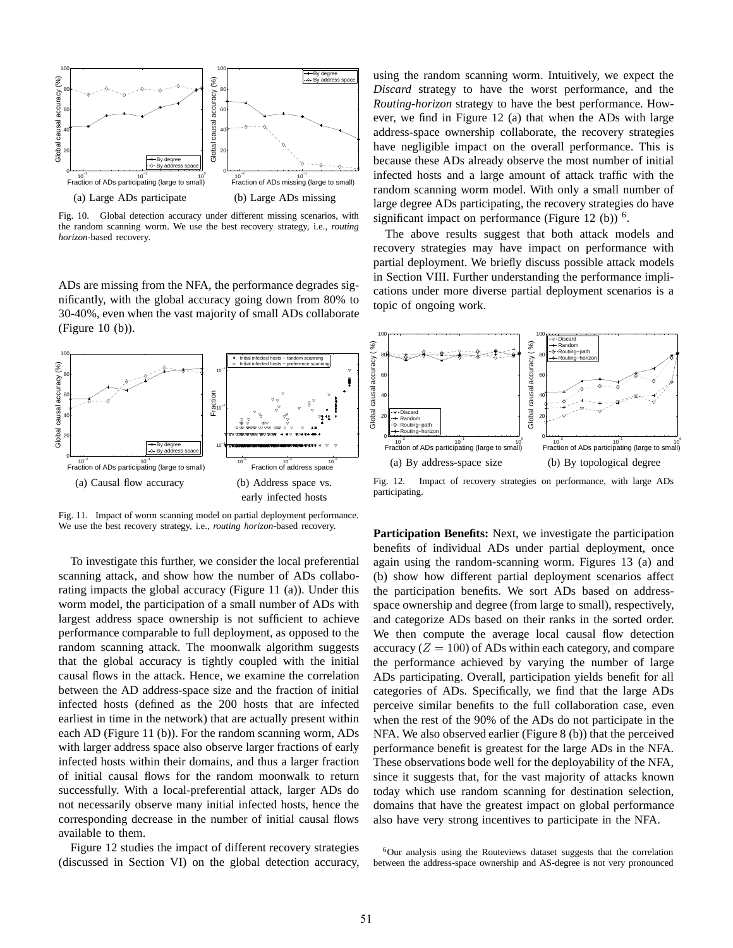

Fig. 10. Global detection accuracy under different missing scenarios, with the random scanning worm. We use the best recovery strategy, i.e., *routing horizon*-based recovery.

ADs are missing from the NFA, the performance degrades significantly, with the global accuracy going down from 80% to 30-40%, even when the vast majority of small ADs collaborate (Figure 10 (b)).



Fig. 11. Impact of worm scanning model on partial deployment performance. We use the best recovery strategy, i.e., *routing horizon*-based recovery.

To investigate this further, we consider the local preferential scanning attack, and show how the number of ADs collaborating impacts the global accuracy (Figure 11 (a)). Under this worm model, the participation of a small number of ADs with largest address space ownership is not sufficient to achieve performance comparable to full deployment, as opposed to the random scanning attack. The moonwalk algorithm suggests that the global accuracy is tightly coupled with the initial causal flows in the attack. Hence, we examine the correlation between the AD address-space size and the fraction of initial infected hosts (defined as the 200 hosts that are infected earliest in time in the network) that are actually present within each AD (Figure 11 (b)). For the random scanning worm, ADs with larger address space also observe larger fractions of early infected hosts within their domains, and thus a larger fraction of initial causal flows for the random moonwalk to return successfully. With a local-preferential attack, larger ADs do not necessarily observe many initial infected hosts, hence the corresponding decrease in the number of initial causal flows available to them.

Figure 12 studies the impact of different recovery strategies (discussed in Section VI) on the global detection accuracy, using the random scanning worm. Intuitively, we expect the *Discard* strategy to have the worst performance, and the *Routing-horizon* strategy to have the best performance. However, we find in Figure 12 (a) that when the ADs with large address-space ownership collaborate, the recovery strategies have negligible impact on the overall performance. This is because these ADs already observe the most number of initial infected hosts and a large amount of attack traffic with the random scanning worm model. With only a small number of large degree ADs participating, the recovery strategies do have significant impact on performance (Figure 12 (b))  $<sup>6</sup>$ .</sup>

The above results suggest that both attack models and recovery strategies may have impact on performance with partial deployment. We briefly discuss possible attack models in Section VIII. Further understanding the performance implications under more diverse partial deployment scenarios is a topic of ongoing work.



Fig. 12. Impact of recovery strategies on performance, with large ADs participating.

**Participation Benefits:** Next, we investigate the participation benefits of individual ADs under partial deployment, once again using the random-scanning worm. Figures 13 (a) and (b) show how different partial deployment scenarios affect the participation benefits. We sort ADs based on addressspace ownership and degree (from large to small), respectively, and categorize ADs based on their ranks in the sorted order. We then compute the average local causal flow detection accuracy  $(Z = 100)$  of ADs within each category, and compare the performance achieved by varying the number of large ADs participating. Overall, participation yields benefit for all categories of ADs. Specifically, we find that the large ADs perceive similar benefits to the full collaboration case, even when the rest of the 90% of the ADs do not participate in the NFA. We also observed earlier (Figure 8 (b)) that the perceived performance benefit is greatest for the large ADs in the NFA. These observations bode well for the deployability of the NFA, since it suggests that, for the vast majority of attacks known today which use random scanning for destination selection, domains that have the greatest impact on global performance also have very strong incentives to participate in the NFA.

<sup>6</sup>Our analysis using the Routeviews dataset suggests that the correlation between the address-space ownership and AS-degree is not very pronounced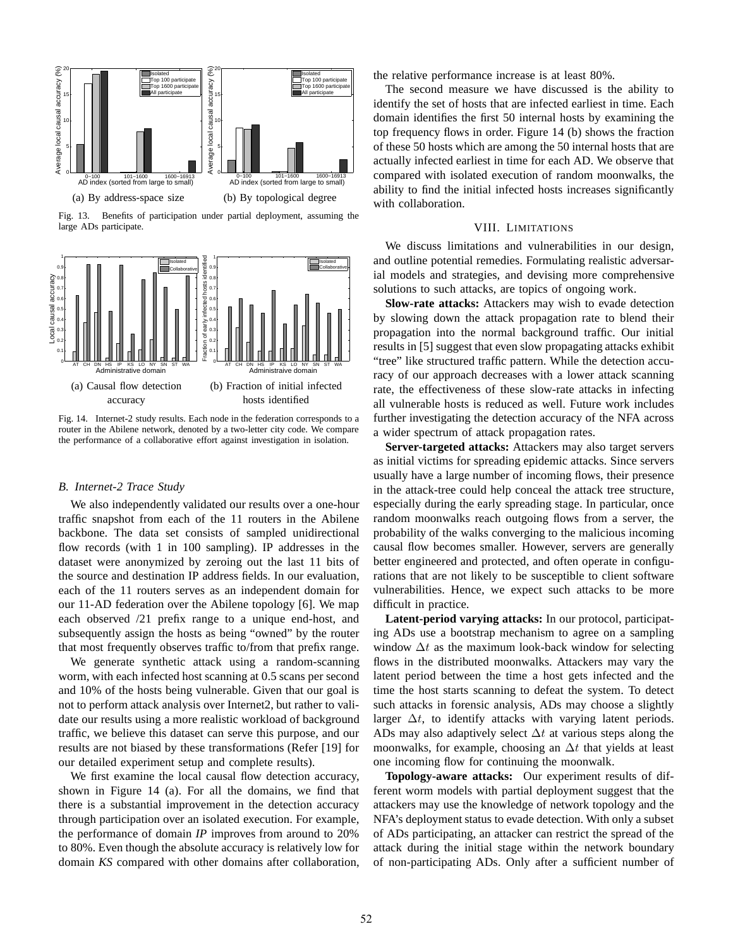

Fig. 13. Benefits of participation under partial deployment, assuming the large ADs participate.



Fig. 14. Internet-2 study results. Each node in the federation corresponds to a router in the Abilene network, denoted by a two-letter city code. We compare the performance of a collaborative effort against investigation in isolation.

## *B. Internet-2 Trace Study*

We also independently validated our results over a one-hour traffic snapshot from each of the 11 routers in the Abilene backbone. The data set consists of sampled unidirectional flow records (with 1 in 100 sampling). IP addresses in the dataset were anonymized by zeroing out the last 11 bits of the source and destination IP address fields. In our evaluation, each of the 11 routers serves as an independent domain for our 11-AD federation over the Abilene topology [6]. We map each observed /21 prefix range to a unique end-host, and subsequently assign the hosts as being "owned" by the router that most frequently observes traffic to/from that prefix range.

We generate synthetic attack using a random-scanning worm, with each infected host scanning at 0.5 scans per second and 10% of the hosts being vulnerable. Given that our goal is not to perform attack analysis over Internet2, but rather to validate our results using a more realistic workload of background traffic, we believe this dataset can serve this purpose, and our results are not biased by these transformations (Refer [19] for our detailed experiment setup and complete results).

We first examine the local causal flow detection accuracy, shown in Figure 14 (a). For all the domains, we find that there is a substantial improvement in the detection accuracy through participation over an isolated execution. For example, the performance of domain *IP* improves from around to 20% to 80%. Even though the absolute accuracy is relatively low for domain *KS* compared with other domains after collaboration,

the relative performance increase is at least 80%.

The second measure we have discussed is the ability to identify the set of hosts that are infected earliest in time. Each domain identifies the first 50 internal hosts by examining the top frequency flows in order. Figure 14 (b) shows the fraction of these 50 hosts which are among the 50 internal hosts that are actually infected earliest in time for each AD. We observe that compared with isolated execution of random moonwalks, the ability to find the initial infected hosts increases significantly with collaboration.

## VIII. LIMITATIONS

We discuss limitations and vulnerabilities in our design, and outline potential remedies. Formulating realistic adversarial models and strategies, and devising more comprehensive solutions to such attacks, are topics of ongoing work.

**Slow-rate attacks:** Attackers may wish to evade detection by slowing down the attack propagation rate to blend their propagation into the normal background traffic. Our initial results in [5] suggest that even slow propagating attacks exhibit "tree" like structured traffic pattern. While the detection accuracy of our approach decreases with a lower attack scanning rate, the effectiveness of these slow-rate attacks in infecting all vulnerable hosts is reduced as well. Future work includes further investigating the detection accuracy of the NFA across a wider spectrum of attack propagation rates.

**Server-targeted attacks:** Attackers may also target servers as initial victims for spreading epidemic attacks. Since servers usually have a large number of incoming flows, their presence in the attack-tree could help conceal the attack tree structure, especially during the early spreading stage. In particular, once random moonwalks reach outgoing flows from a server, the probability of the walks converging to the malicious incoming causal flow becomes smaller. However, servers are generally better engineered and protected, and often operate in configurations that are not likely to be susceptible to client software vulnerabilities. Hence, we expect such attacks to be more difficult in practice.

**Latent-period varying attacks:** In our protocol, participating ADs use a bootstrap mechanism to agree on a sampling window  $\Delta t$  as the maximum look-back window for selecting flows in the distributed moonwalks. Attackers may vary the latent period between the time a host gets infected and the time the host starts scanning to defeat the system. To detect such attacks in forensic analysis, ADs may choose a slightly larger  $\Delta t$ , to identify attacks with varying latent periods. ADs may also adaptively select  $\Delta t$  at various steps along the moonwalks, for example, choosing an  $\Delta t$  that yields at least one incoming flow for continuing the moonwalk.

**Topology-aware attacks:** Our experiment results of different worm models with partial deployment suggest that the attackers may use the knowledge of network topology and the NFA's deployment status to evade detection. With only a subset of ADs participating, an attacker can restrict the spread of the attack during the initial stage within the network boundary of non-participating ADs. Only after a sufficient number of